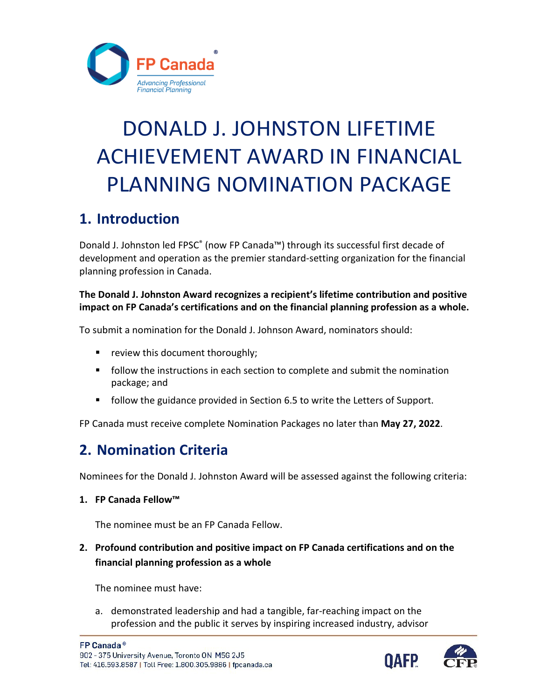

# ACHIEVEMENT AWARD IN FINANCIAL DONALD J. JOHNSTON LIFETIME PLANNING NOMINATION PACKAGE

# **1. Introduction**

Donald J. Johnston led FPSC® (now FP Canada™) through its successful first decade of development and operation as the premier standard-setting organization for the financial planning profession in Canada.

#### **The Donald J. Johnston Award recognizes a recipient's lifetime contribution and positive impact on FP Canada's certifications and on the financial planning profession as a whole.**

To submit a nomination for the Donald J. Johnson Award, nominators should:

- **•** review this document thoroughly;
- **Fellow the instructions in each section to complete and submit the nomination** package; and
- **follow the guidance provided in Section 6.5 to write the Letters of Support.**

FP Canada must receive complete Nomination Packages no later than **May 27, 2022**.

# **2. Nomination Criteria**

Nominees for the Donald J. Johnston Award will be assessed against the following criteria:

**1. FP Canada Fellow™** 

The nominee must be an FP Canada Fellow.

**2. Profound contribution and positive impact on FP Canada certifications and on the financial planning profession as a whole** 

The nominee must have:

a. demonstrated leadership and had a tangible, far-reaching impact on the profession and the public it serves by inspiring increased industry, advisor

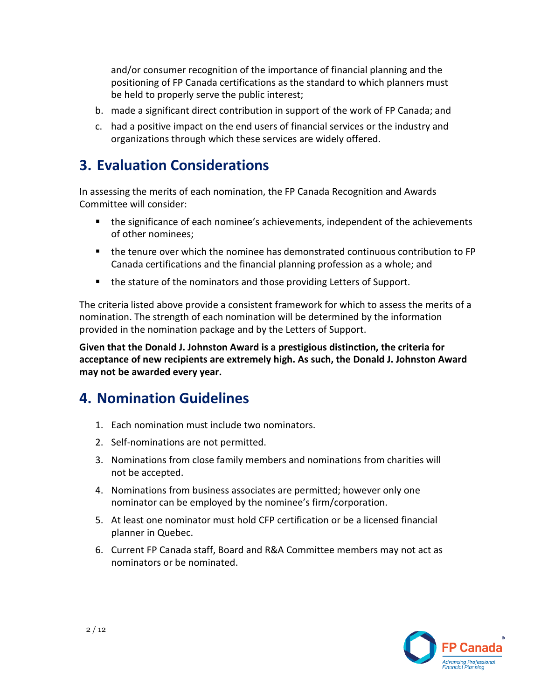and/or consumer recognition of the importance of financial planning and the positioning of FP Canada certifications as the standard to which planners must be held to properly serve the public interest;

- b. made a significant direct contribution in support of the work of FP Canada; and
- c. had a positive impact on the end users of financial services or the industry and organizations through which these services are widely offered.

### **3. Evaluation Considerations**

 In assessing the merits of each nomination, the FP Canada Recognition and Awards Committee will consider:

- the significance of each nominee's achievements, independent of the achievements of other nominees;
- the tenure over which the nominee has demonstrated continuous contribution to FP Canada certifications and the financial planning profession as a whole; and
- the stature of the nominators and those providing Letters of Support.

 The criteria listed above provide a consistent framework for which to assess the merits of a nomination. The strength of each nomination will be determined by the information provided in the nomination package and by the Letters of Support.

 **Given that the Donald J. Johnston Award is a prestigious distinction, the criteria for acceptance of new recipients are extremely high. As such, the Donald J. Johnston Award may not be awarded every year.** 

### **4. Nomination Guidelines**

- 1. Each nomination must include two nominators.
- 2. Self-nominations are not permitted.
- 3. Nominations from close family members and nominations from charities will not be accepted.
- 4. Nominations from business associates are permitted; however only one nominator can be employed by the nominee's firm/corporation.
- 5. At least one nominator must hold CFP certification or be a licensed financial planner in Quebec.
- 6. Current FP Canada staff, Board and R&A Committee members may not act as nominators or be nominated.

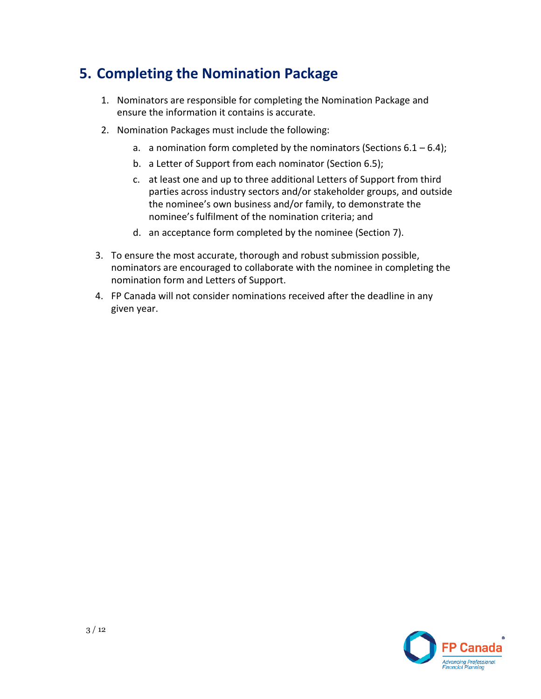# **5. Completing the Nomination Package**

- 1. Nominators are responsible for completing the Nomination Package and ensure the information it contains is accurate.
- 2. Nomination Packages must include the following:
	- a. a nomination form completed by the nominators (Sections  $6.1 6.4$ );
	- b. a Letter of Support from each nominator (Section 6.5);
	- the nominee's own business and/or family, to demonstrate the nominee's fulfilment of the nomination criteria; and c. at least one and up to three additional Letters of Support from third parties across industry sectors and/or stakeholder groups, and outside
	- d. an acceptance form completed by the nominee (Section 7).
- nominators are encouraged to collaborate with the nominee in completing the 3. To ensure the most accurate, thorough and robust submission possible, nomination form and Letters of Support.
- 4. FP Canada will not consider nominations received after the deadline in any given year.

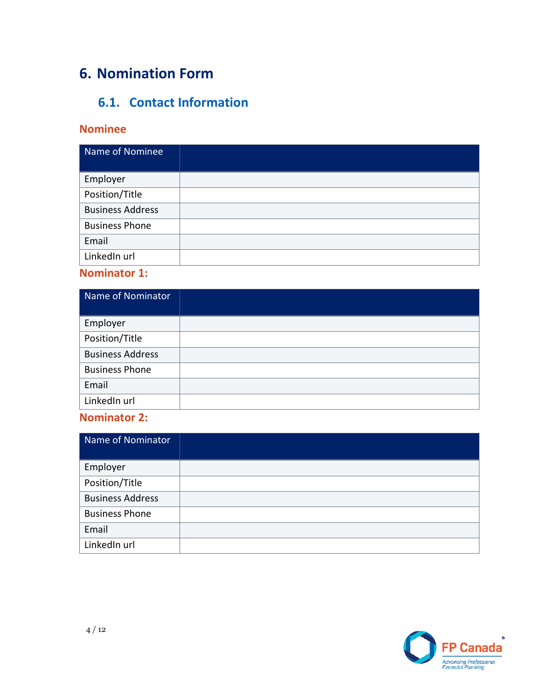# **6. Nomination Form**

### **6.1. Contact Information**

### **Nominee**

| Name of Nominee         |  |
|-------------------------|--|
| Employer                |  |
| Position/Title          |  |
| <b>Business Address</b> |  |
| <b>Business Phone</b>   |  |
| Email                   |  |
| LinkedIn url            |  |

### **Nominator 1:**

| Name of Nominator       |  |
|-------------------------|--|
| Employer                |  |
| Position/Title          |  |
| <b>Business Address</b> |  |
| <b>Business Phone</b>   |  |
| Email                   |  |
| LinkedIn url            |  |

### **Nominator 2:**

| Name of Nominator       |  |
|-------------------------|--|
| Employer                |  |
| Position/Title          |  |
| <b>Business Address</b> |  |
| <b>Business Phone</b>   |  |
| Email                   |  |
| LinkedIn url            |  |

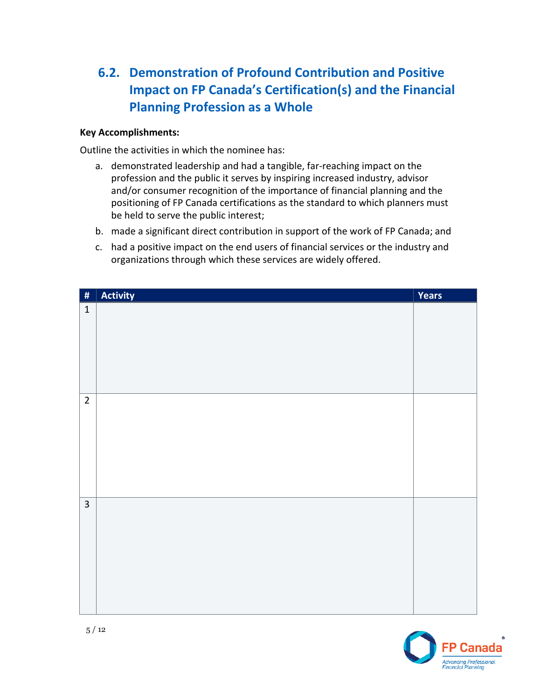### **Impact on FP Canada's Certification(s) and the Financial 6.2. Demonstration of Profound Contribution and Positive Planning Profession as a Whole**

#### **Key Accomplishments:**

Outline the activities in which the nominee has:

- and/or consumer recognition of the importance of financial planning and the a. demonstrated leadership and had a tangible, far-reaching impact on the profession and the public it serves by inspiring increased industry, advisor positioning of FP Canada certifications as the standard to which planners must be held to serve the public interest;
- b. made a significant direct contribution in support of the work of FP Canada; and
- c. had a positive impact on the end users of financial services or the industry and organizations through which these services are widely offered.

| $\vert$ #      | Activity | Years |
|----------------|----------|-------|
| $\mathbf 1$    |          |       |
| $\overline{2}$ |          |       |
| $\overline{3}$ |          |       |

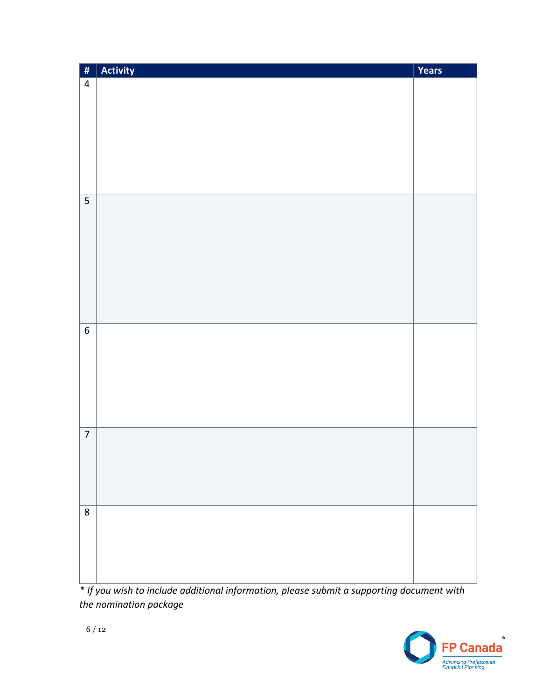| $\frac{4}{\pi}$  | $\vert$ Activity | Years |
|------------------|------------------|-------|
| $\overline{4}$   |                  |       |
|                  |                  |       |
|                  |                  |       |
|                  |                  |       |
|                  |                  |       |
|                  |                  |       |
|                  |                  |       |
|                  |                  |       |
| 5                |                  |       |
|                  |                  |       |
|                  |                  |       |
|                  |                  |       |
|                  |                  |       |
|                  |                  |       |
|                  |                  |       |
|                  |                  |       |
| $\boldsymbol{6}$ |                  |       |
|                  |                  |       |
|                  |                  |       |
|                  |                  |       |
|                  |                  |       |
|                  |                  |       |
|                  |                  |       |
| $\boldsymbol{7}$ |                  |       |
|                  |                  |       |
|                  |                  |       |
|                  |                  |       |
|                  |                  |       |
| $\bf 8$          |                  |       |
|                  |                  |       |
|                  |                  |       |
|                  |                  |       |
|                  |                  |       |

*\* If you wish to include additional information, please submit a supporting document with the nomination package* 

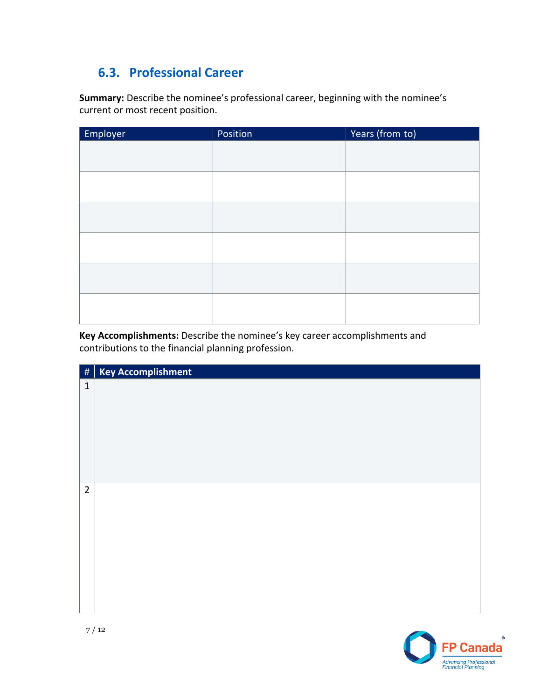## **6.3. Professional Career**

 **Summary:** Describe the nominee's professional career, beginning with the nominee's current or most recent position.

| Employer | Position | Years (from to) |
|----------|----------|-----------------|
|          |          |                 |
|          |          |                 |
|          |          |                 |
|          |          |                 |
|          |          |                 |
|          |          |                 |
|          |          |                 |
|          |          |                 |
|          |          |                 |
|          |          |                 |
|          |          |                 |
|          |          |                 |

**Key Accomplishments:** Describe the nominee's key career accomplishments and contributions to the financial planning profession.



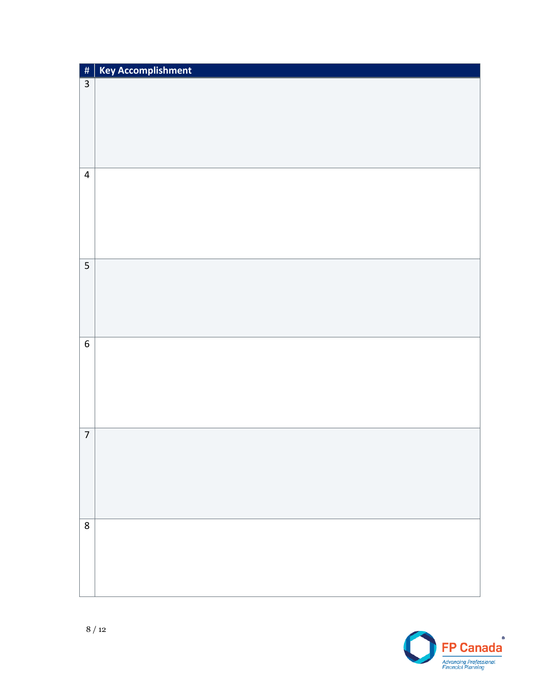| $\left  \frac{\textstyle{41}}{4} \right $ | <b>Key Accomplishment</b> |
|-------------------------------------------|---------------------------|
| $\overline{3}$                            |                           |
|                                           |                           |
|                                           |                           |
|                                           |                           |
|                                           |                           |
|                                           |                           |
| $\overline{4}$                            |                           |
|                                           |                           |
|                                           |                           |
|                                           |                           |
|                                           |                           |
|                                           |                           |
|                                           |                           |
| 5                                         |                           |
|                                           |                           |
|                                           |                           |
|                                           |                           |
|                                           |                           |
|                                           |                           |
| $\overline{6}$                            |                           |
|                                           |                           |
|                                           |                           |
|                                           |                           |
|                                           |                           |
|                                           |                           |
| $\overline{7}$                            |                           |
|                                           |                           |
|                                           |                           |
|                                           |                           |
|                                           |                           |
|                                           |                           |
|                                           |                           |
| $\bf 8$                                   |                           |
|                                           |                           |
|                                           |                           |
|                                           |                           |
|                                           |                           |

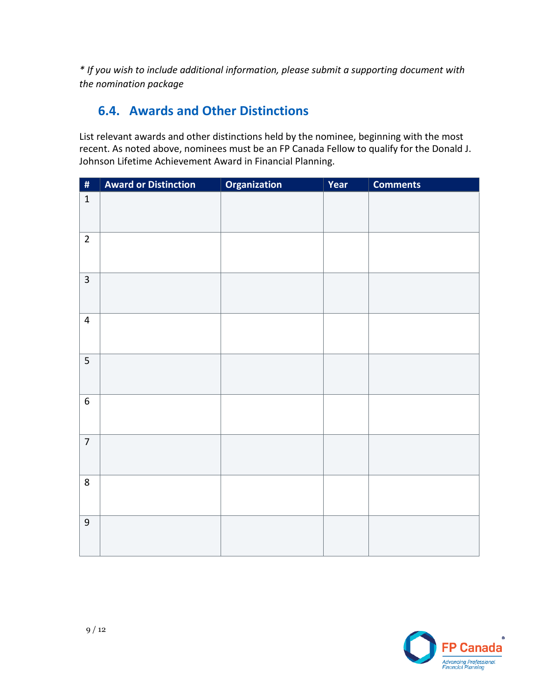*\* If you wish to include additional information, please submit a supporting document with the nomination package* 

### **6.4. Awards and Other Distinctions**

 recent. As noted above, nominees must be an FP Canada Fellow to qualify for the Donald J. List relevant awards and other distinctions held by the nominee, beginning with the most Johnson Lifetime Achievement Award in Financial Planning.

| $\overline{\boldsymbol{H}}$ | <b>Award or Distinction</b> | Organization | Year | <b>Comments</b> |
|-----------------------------|-----------------------------|--------------|------|-----------------|
| $\mathbf 1$                 |                             |              |      |                 |
| $\overline{2}$              |                             |              |      |                 |
| $\overline{3}$              |                             |              |      |                 |
| $\overline{4}$              |                             |              |      |                 |
| 5                           |                             |              |      |                 |
| 6                           |                             |              |      |                 |
| $\overline{7}$              |                             |              |      |                 |
| 8                           |                             |              |      |                 |
| $\boldsymbol{9}$            |                             |              |      |                 |

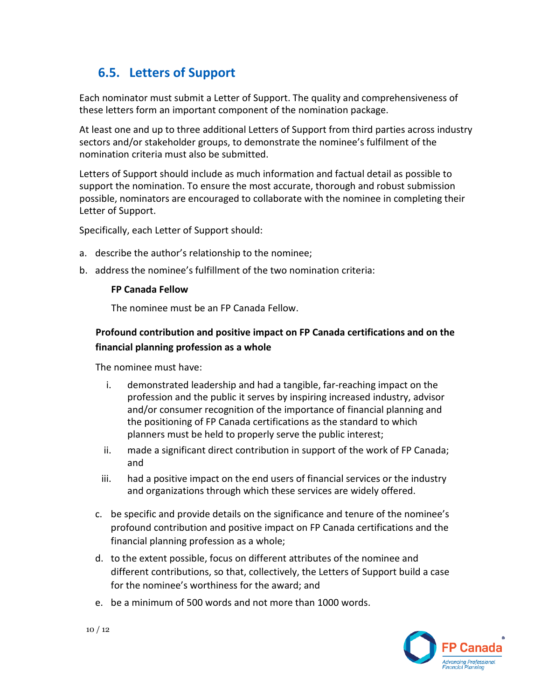### **6.5. Letters of Support**

Each nominator must submit a Letter of Support. The quality and comprehensiveness of these letters form an important component of the nomination package.

 sectors and/or stakeholder groups, to demonstrate the nominee's fulfilment of the At least one and up to three additional Letters of Support from third parties across industry nomination criteria must also be submitted.

 Letters of Support should include as much information and factual detail as possible to support the nomination. To ensure the most accurate, thorough and robust submission possible, nominators are encouraged to collaborate with the nominee in completing their Letter of Support.

Specifically, each Letter of Support should:

- a. describe the author's relationship to the nominee;
- b. address the nominee's fulfillment of the two nomination criteria:

#### **FP Canada Fellow**

The nominee must be an FP Canada Fellow.

### **Profound contribution and positive impact on FP Canada certifications and on the financial planning profession as a whole**

The nominee must have:

- i. demonstrated leadership and had a tangible, far-reaching impact on the profession and the public it serves by inspiring increased industry, advisor and/or consumer recognition of the importance of financial planning and the positioning of FP Canada certifications as the standard to which planners must be held to properly serve the public interest;
- ii. made a significant direct contribution in support of the work of FP Canada; and
- iii. had a positive impact on the end users of financial services or the industry and organizations through which these services are widely offered.
- c. be specific and provide details on the significance and tenure of the nominee's profound contribution and positive impact on FP Canada certifications and the financial planning profession as a whole;
- d. to the extent possible, focus on different attributes of the nominee and different contributions, so that, collectively, the Letters of Support build a case for the nominee's worthiness for the award; and
- e. be a minimum of 500 words and not more than 1000 words.

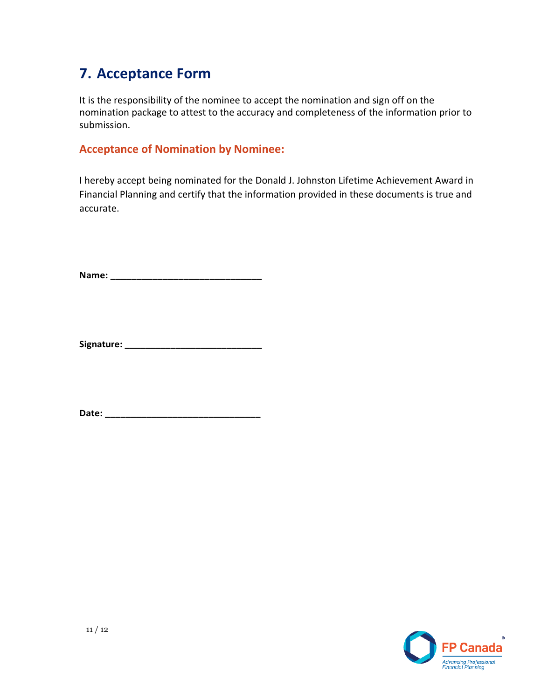### **7. Acceptance Form**

It is the responsibility of the nominee to accept the nomination and sign off on the nomination package to attest to the accuracy and completeness of the information prior to submission.

### **Acceptance of Nomination by Nominee:**

 Financial Planning and certify that the information provided in these documents is true and I hereby accept being nominated for the Donald J. Johnston Lifetime Achievement Award in accurate.

**Name: \_\_\_\_\_\_\_\_\_\_\_\_\_\_\_\_\_\_\_\_\_\_\_\_\_\_\_\_\_** 

**Signature: \_\_\_\_\_\_\_\_\_\_\_\_\_\_\_\_\_\_\_\_\_\_\_\_\_\_\_** 

**Date: \_\_\_\_\_\_\_\_\_\_\_\_\_\_\_\_\_\_\_\_\_\_\_\_\_\_\_\_\_\_**